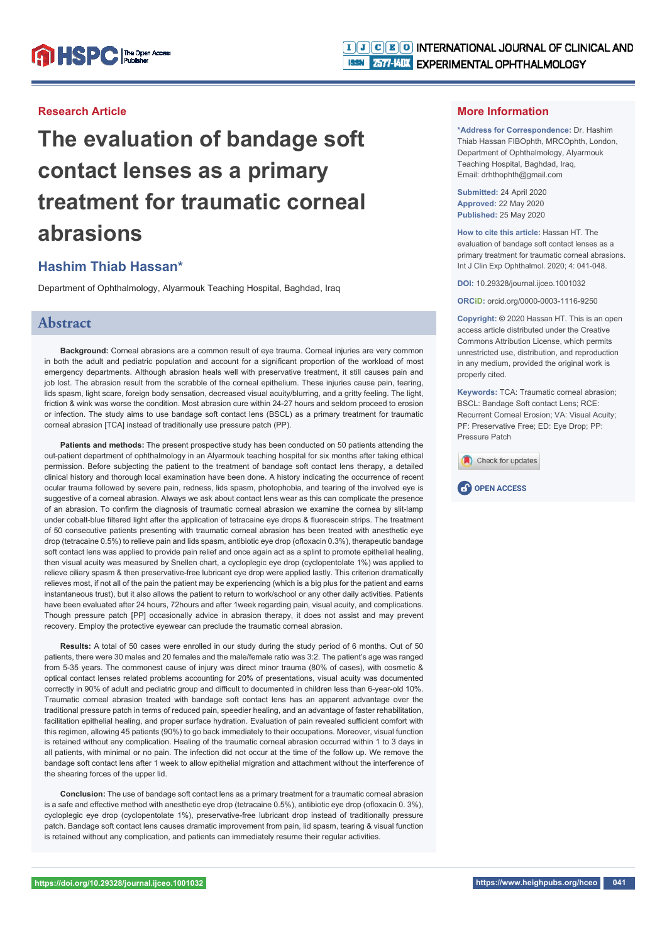### **Research Article**

**The evaluation of bandage soft contact lenses as a primary treatment for traumatic corneal abrasions** 

# **Hashim Thiab Hassan\***

Department of Ophthalmology, Alyarmouk Teaching Hospital, Baghdad, Iraq

### **Abstract**

**Background:** Corneal abrasions are a common result of eye trauma. Corneal injuries are very common in both the adult and pediatric population and account for a significant proportion of the workload of most emergency departments. Although abrasion heals well with preservative treatment, it still causes pain and job lost. The abrasion result from the scrabble of the corneal epithelium. These injuries cause pain, tearing, lids spasm, light scare, foreign body sensation, decreased visual acuity/blurring, and a gritty feeling. The light, friction & wink was worse the condition. Most abrasion cure within 24-27 hours and seldom proceed to erosion or infection. The study aims to use bandage soft contact lens (BSCL) as a primary treatment for traumatic corneal abrasion [TCA] instead of traditionally use pressure patch (PP).

**Patients and methods:** The present prospective study has been conducted on 50 patients attending the out-patient department of ophthalmology in an Alyarmouk teaching hospital for six months after taking ethical permission. Before subjecting the patient to the treatment of bandage soft contact lens therapy, a detailed clinical history and thorough local examination have been done. A history indicating the occurrence of recent ocular trauma followed by severe pain, redness, lids spasm, photophobia, and tearing of the involved eye is suggestive of a corneal abrasion. Always we ask about contact lens wear as this can complicate the presence of an abrasion. To confirm the diagnosis of traumatic corneal abrasion we examine the cornea by slit-lamp under cobalt-blue filtered light after the application of tetracaine eye drops & fluorescein strips. The treatment of 50 consecutive patients presenting with traumatic corneal abrasion has been treated with anesthetic eye drop (tetracaine 0.5%) to relieve pain and lids spasm, antibiotic eve drop (ofloxacin 0.3%), therapeutic bandage soft contact lens was applied to provide pain relief and once again act as a splint to promote epithelial healing. then visual acuity was measured by Snellen chart, a cycloplegic eye drop (cyclopentolate 1%) was applied to relieve ciliary spasm & then preservative-free lubricant eye drop were applied lastly. This criterion dramatically relieves most, if not all of the pain the patient may be experiencing (which is a big plus for the patient and earns instantaneous trust), but it also allows the patient to return to work/school or any other daily activities. Patients have been evaluated after 24 hours, 72hours and after 1week regarding pain, visual acuity, and complications. Though pressure patch [PP] occasionally advice in abrasion therapy, it does not assist and may prevent recovery. Employ the protective eyewear can preclude the traumatic corneal abrasion.

**Results:** A total of 50 cases were enrolled in our study during the study period of 6 months. Out of 50 patients, there were 30 males and 20 females and the male/female ratio was 3:2. The patient's age was ranged from 5-35 years. The commonest cause of injury was direct minor trauma (80% of cases), with cosmetic & optical contact lenses related problems accounting for 20% of presentations, visual acuity was documented correctly in 90% of adult and pediatric group and difficult to documented in children less than 6-year-old 10%. Traumatic corneal abrasion treated with bandage soft contact lens has an apparent advantage over the traditional pressure patch in terms of reduced pain, speedier healing, and an advantage of faster rehabilitation, facilitation epithelial healing, and proper surface hydration. Evaluation of pain revealed sufficient comfort with this regimen, allowing 45 patients (90%) to go back immediately to their occupations. Moreover, visual function is retained without any complication. Healing of the traumatic corneal abrasion occurred within 1 to 3 days in all patients, with minimal or no pain. The infection did not occur at the time of the follow up. We remove the bandage soft contact lens after 1 week to allow epithelial migration and attachment without the interference of the shearing forces of the upper lid.

**Conclusion:** The use of bandage soft contact lens as a primary treatment for a traumatic corneal abrasion is a safe and effective method with anesthetic eye drop (tetracaine  $0.5\%$ ), antibiotic eye drop (ofloxacin  $0.3\%$ ), cycloplegic eye drop (cyclopentolate 1%), preservative-free lubricant drop instead of traditionally pressure patch. Bandage soft contact lens causes dramatic improvement from pain, lid spasm, tearing & visual function is retained without any complication, and patients can immediately resume their regular activities.

#### **More Information**

**\*Address for Correspondence:** Dr. Hashim Thiab Hassan FIBOphth, MRCOphth, London, Department of Ophthalmology, Alyarmouk Teaching Hospital, Baghdad, Iraq, Email: drhthophth@gmail.com

**Submitted:** 24 April 2020 **Approved:** 22 May 2020 **Published:** 25 May 2020

**How to cite this article:** Hassan HT. The evaluation of bandage soft contact lenses as a primary treatment for traumatic corneal abrasions. Int J Clin Exp Ophthalmol. 2020; 4: 041-048.

**DOI:** 10.29328/journal.ijceo.1001032

**ORCiD:** orcid.org/0000-0003-1116-9250

**Copyright: ©** 2020 Hassan HT. This is an open access article distributed under the Creative Commons Attribution License, which permits unrestricted use, distribution, and reproduction in any medium, provided the original work is properly cited.

**Keywords:** TCA: Traumatic corneal abrasion; BSCL: Bandage Soft contact Lens; RCE: Recurrent Corneal Erosion; VA: Visual Acuity; PF: Preservative Free; ED: Eye Drop; PP: Pressure Patch



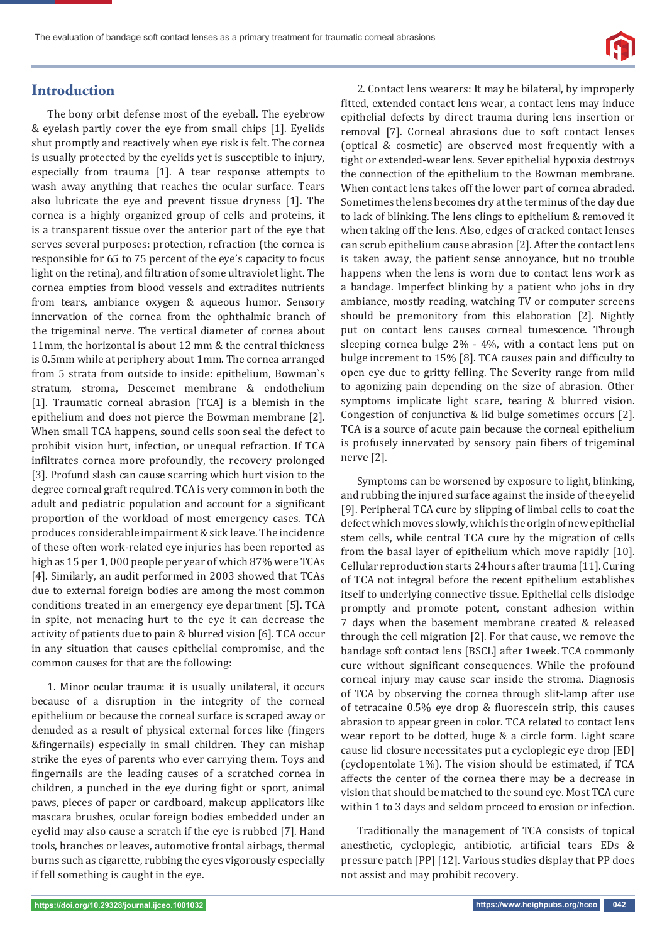

## **Introduction**

The bony orbit defense most of the eyeball. The eyebrow & eyelash partly cover the eye from small chips [1]. Eyelids shut promptly and reactively when eye risk is felt. The cornea is usually protected by the eyelids yet is susceptible to injury, especially from trauma [1]. A tear response attempts to wash away anything that reaches the ocular surface. Tears also lubricate the eye and prevent tissue dryness [1]. The cornea is a highly organized group of cells and proteins, it is a transparent tissue over the anterior part of the eye that serves several purposes: protection, refraction (the cornea is responsible for 65 to 75 percent of the eye's capacity to focus light on the retina), and filtration of some ultraviolet light. The cornea empties from blood vessels and extradites nutrients from tears, ambiance oxygen & aqueous humor. Sensory innervation of the cornea from the ophthalmic branch of the trigeminal nerve. The vertical diameter of cornea about 11mm, the horizontal is about 12 mm & the central thickness is 0.5mm while at periphery about 1mm. The cornea arranged from 5 strata from outside to inside: epithelium, Bowman`s stratum, stroma, Descemet membrane & endothelium [1]. Traumatic corneal abrasion [TCA] is a blemish in the epithelium and does not pierce the Bowman membrane [2]. When small TCA happens, sound cells soon seal the defect to prohibit vision hurt, infection, or unequal refraction. If TCA infiltrates cornea more profoundly, the recovery prolonged [3]. Profund slash can cause scarring which hurt vision to the degree corneal graft required. TCA is very common in both the adult and pediatric population and account for a significant proportion of the workload of most emergency cases. TCA produces considerable impairment & sick leave. The incidence of these often work-related eye injuries has been reported as high as 15 per 1, 000 people per year of which 87% were TCAs [4]. Similarly, an audit performed in 2003 showed that TCAs due to external foreign bodies are among the most common conditions treated in an emergency eye department [5]. TCA in spite, not menacing hurt to the eye it can decrease the activity of patients due to pain & blurred vision [6]. TCA occur in any situation that causes epithelial compromise, and the common causes for that are the following:

1. Minor ocular trauma: it is usually unilateral, it occurs because of a disruption in the integrity of the corneal epithelium or because the corneal surface is scraped away or denuded as a result of physical external forces like (fingers &fingernails) especially in small children. They can mishap strike the eyes of parents who ever carrying them. Toys and fingernails are the leading causes of a scratched cornea in children, a punched in the eye during fight or sport, animal paws, pieces of paper or cardboard, makeup applicators like mascara brushes, ocular foreign bodies embedded under an eyelid may also cause a scratch if the eye is rubbed [7]. Hand tools, branches or leaves, automotive frontal airbags, thermal burns such as cigarette, rubbing the eyes vigorously especially if fell something is caught in the eye.

2. Contact lens wearers: It may be bilateral, by improperly fitted, extended contact lens wear, a contact lens may induce epithelial defects by direct trauma during lens insertion or removal [7]. Corneal abrasions due to soft contact lenses (optical & cosmetic) are observed most frequently with a tight or extended-wear lens. Sever epithelial hypoxia destroys the connection of the epithelium to the Bowman membrane. When contact lens takes off the lower part of cornea abraded. Sometimes the lens becomes dry at the terminus of the day due to lack of blinking. The lens clings to epithelium & removed it when taking off the lens. Also, edges of cracked contact lenses can scrub epithelium cause abrasion [2]. After the contact lens is taken away, the patient sense annoyance, but no trouble happens when the lens is worn due to contact lens work as a bandage. Imperfect blinking by a patient who jobs in dry ambiance, mostly reading, watching TV or computer screens should be premonitory from this elaboration [2]. Nightly put on contact lens causes corneal tumescence. Through sleeping cornea bulge 2% - 4%, with a contact lens put on bulge increment to 15% [8]. TCA causes pain and difficulty to open eye due to gritty felling. The Severity range from mild to agonizing pain depending on the size of abrasion. Other symptoms implicate light scare, tearing & blurred vision. Congestion of conjunctiva & lid bulge sometimes occurs [2]. TCA is a source of acute pain because the corneal epithelium is profusely innervated by sensory pain fibers of trigeminal nerve [2].

Symptoms can be worsened by exposure to light, blinking, and rubbing the injured surface against the inside of the eyelid [9]. Peripheral TCA cure by slipping of limbal cells to coat the defect which moves slowly, which is the origin of new epithelial stem cells, while central TCA cure by the migration of cells from the basal layer of epithelium which move rapidly [10]. Cellular reproduction starts 24 hours after trauma [11]. Curing of TCA not integral before the recent epithelium establishes itself to underlying connective tissue. Epithelial cells dislodge promptly and promote potent, constant adhesion within 7 days when the basement membrane created & released through the cell migration [2]. For that cause, we remove the bandage soft contact lens [BSCL] after 1week. TCA commonly cure without significant consequences. While the profound corneal injury may cause scar inside the stroma. Diagnosis of TCA by observing the cornea through slit-lamp after use of tetracaine 0.5% eye drop & fluorescein strip, this causes abrasion to appear green in color. TCA related to contact lens wear report to be dotted, huge & a circle form. Light scare cause lid closure necessitates put a cycloplegic eye drop [ED] (cyclopentolate 1%). The vision should be estimated, if TCA affects the center of the cornea there may be a decrease in vision that should be matched to the sound eye. Most TCA cure within 1 to 3 days and seldom proceed to erosion or infection.

Traditionally the management of TCA consists of topical anesthetic, cycloplegic, antibiotic, artificial tears EDs & pressure patch [PP] [12]. Various studies display that PP does not assist and may prohibit recovery.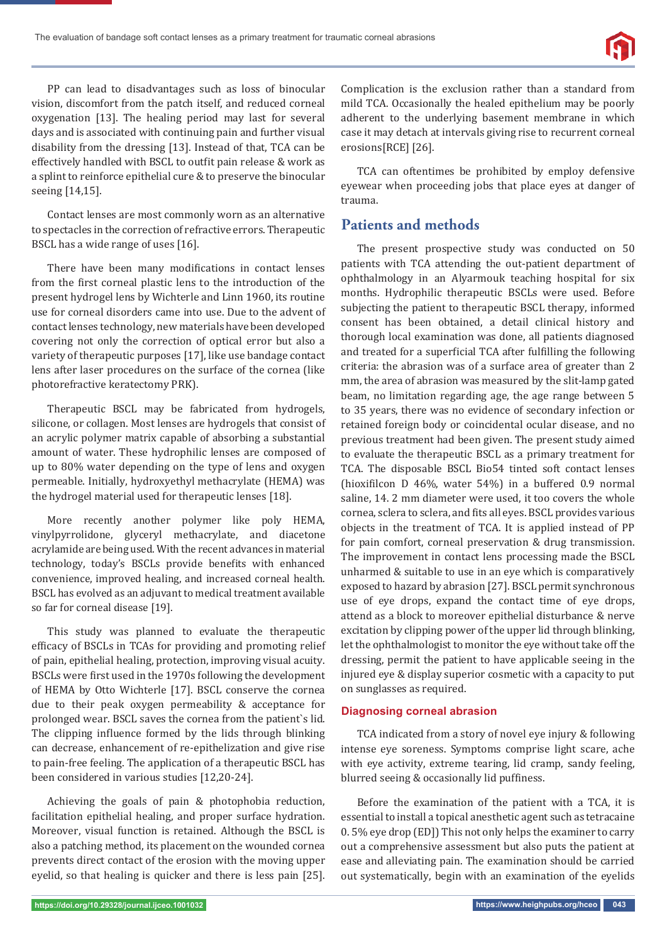

PP can lead to disadvantages such as loss of binocular vision, discomfort from the patch itself, and reduced corneal oxygenation [13]. The healing period may last for several days and is associated with continuing pain and further visual disability from the dressing [13]. Instead of that, TCA can be effectively handled with BSCL to outfit pain release & work as a splint to reinforce epithelial cure & to preserve the binocular seeing [14,15].

Contact lenses are most commonly worn as an alternative to spectacles in the correction of refractive errors. Therapeutic BSCL has a wide range of uses [16].

There have been many modifications in contact lenses from the first corneal plastic lens to the introduction of the present hydrogel lens by Wichterle and Linn 1960, its routine use for corneal disorders came into use. Due to the advent of contact lenses technology, new materials have been developed covering not only the correction of optical error but also a variety of therapeutic purposes [17], like use bandage contact lens after laser procedures on the surface of the cornea (like photorefractive keratectomy PRK).

Therapeutic BSCL may be fabricated from hydrogels, silicone, or collagen. Most lenses are hydrogels that consist of an acrylic polymer matrix capable of absorbing a substantial amount of water. These hydrophilic lenses are composed of up to 80% water depending on the type of lens and oxygen permeable. Initially, hydroxyethyl methacrylate (HEMA) was the hydrogel material used for therapeutic lenses [18].

More recently another polymer like poly HEMA, vinylpyrrolidone, glyceryl methacrylate, and diacetone acrylamide are being used. With the recent advances in material technology, today's BSCLs provide benefits with enhanced convenience, improved healing, and increased corneal health. BSCL has evolved as an adjuvant to medical treatment available so far for corneal disease [19].

This study was planned to evaluate the therapeutic efficacy of BSCLs in TCAs for providing and promoting relief of pain, epithelial healing, protection, improving visual acuity. BSCLs were first used in the 1970s following the development of HEMA by Otto Wichterle [17]. BSCL conserve the cornea due to their peak oxygen permeability & acceptance for prolonged wear. BSCL saves the cornea from the patient`s lid. The clipping influence formed by the lids through blinking can decrease, enhancement of re-epithelization and give rise to pain-free feeling. The application of a therapeutic BSCL has been considered in various studies [12,20-24].

Achieving the goals of pain & photophobia reduction, facilitation epithelial healing, and proper surface hydration. Moreover, visual function is retained. Although the BSCL is also a patching method, its placement on the wounded cornea prevents direct contact of the erosion with the moving upper eyelid, so that healing is quicker and there is less pain [25]. Complication is the exclusion rather than a standard from mild TCA. Occasionally the healed epithelium may be poorly adherent to the underlying basement membrane in which case it may detach at intervals giving rise to recurrent corneal erosions[RCE] [26].

TCA can oftentimes be prohibited by employ defensive eyewear when proceeding jobs that place eyes at danger of trauma.

# **Patients and methods**

The present prospective study was conducted on 50 patients with TCA attending the out-patient department of ophthalmology in an Alyarmouk teaching hospital for six months. Hydrophilic therapeutic BSCLs were used. Before subjecting the patient to therapeutic BSCL therapy, informed consent has been obtained, a detail clinical history and thorough local examination was done, all patients diagnosed and treated for a superficial TCA after fulfilling the following criteria: the abrasion was of a surface area of greater than 2 mm, the area of abrasion was measured by the slit-lamp gated beam, no limitation regarding age, the age range between 5 to 35 years, there was no evidence of secondary infection or retained foreign body or coincidental ocular disease, and no previous treatment had been given. The present study aimed to evaluate the therapeutic BSCL as a primary treatment for TCA. The disposable BSCL Bio54 tinted soft contact lenses (hioxifilcon D  $46\%$ , water  $54\%$ ) in a buffered 0.9 normal saline, 14. 2 mm diameter were used, it too covers the whole cornea, sclera to sclera, and fits all eyes. BSCL provides various objects in the treatment of TCA. It is applied instead of PP for pain comfort, corneal preservation & drug transmission. The improvement in contact lens processing made the BSCL unharmed & suitable to use in an eye which is comparatively exposed to hazard by abrasion [27]. BSCL permit synchronous use of eye drops, expand the contact time of eye drops, attend as a block to moreover epithelial disturbance & nerve excitation by clipping power of the upper lid through blinking, let the ophthalmologist to monitor the eye without take off the dressing, permit the patient to have applicable seeing in the injured eye & display superior cosmetic with a capacity to put on sunglasses as required.

#### **Diagnosing corneal abrasion**

TCA indicated from a story of novel eye injury & following intense eye soreness. Symptoms comprise light scare, ache with eye activity, extreme tearing, lid cramp, sandy feeling, blurred seeing & occasionally lid puffiness.

Before the examination of the patient with a TCA, it is essential to install a topical anesthetic agent such as tetracaine 0. 5% eye drop (ED]) This not only helps the examiner to carry out a comprehensive assessment but also puts the patient at ease and alleviating pain. The examination should be carried out systematically, begin with an examination of the eyelids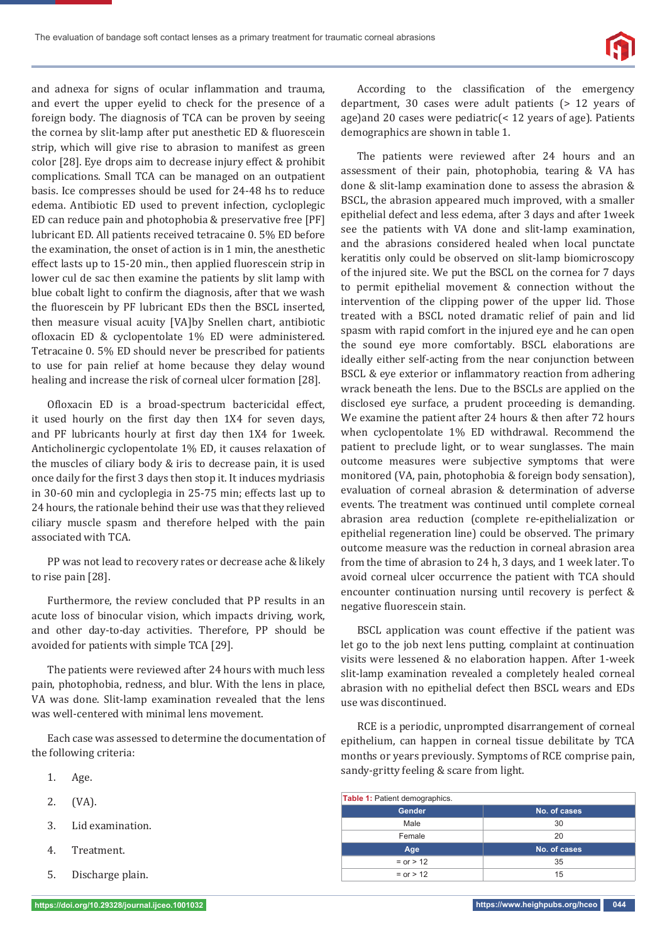

and adnexa for signs of ocular inflammation and trauma, and evert the upper eyelid to check for the presence of a foreign body. The diagnosis of TCA can be proven by seeing the cornea by slit-lamp after put anesthetic ED & fluorescein strip, which will give rise to abrasion to manifest as green color [28]. Eye drops aim to decrease injury effect & prohibit complications. Small TCA can be managed on an outpatient basis. Ice compresses should be used for 24-48 hs to reduce edema. Antibiotic ED used to prevent infection, cycloplegic ED can reduce pain and photophobia & preservative free [PF] lubricant ED. All patients received tetracaine 0. 5% ED before the examination, the onset of action is in 1 min, the anesthetic effect lasts up to 15-20 min., then applied fluorescein strip in lower cul de sac then examine the patients by slit lamp with blue cobalt light to confirm the diagnosis, after that we wash the fluorescein by PF lubricant EDs then the BSCL inserted, then measure visual acuity [VA]by Snellen chart, antibiotic ofloxacin ED & cyclopentolate 1% ED were administered. Tetracaine 0. 5% ED should never be prescribed for patients to use for pain relief at home because they delay wound healing and increase the risk of corneal ulcer formation [28].

Ofloxacin ED is a broad-spectrum bactericidal effect, it used hourly on the first day then 1X4 for seven days, and PF lubricants hourly at first day then 1X4 for 1week. Anticholinergic cyclopentolate 1% ED, it causes relaxation of the muscles of ciliary body & iris to decrease pain, it is used once daily for the first 3 days then stop it. It induces mydriasis in 30-60 min and cycloplegia in 25-75 min; effects last up to 24 hours, the rationale behind their use was that they relieved ciliary muscle spasm and therefore helped with the pain associated with TCA.

PP was not lead to recovery rates or decrease ache & likely to rise pain [28].

Furthermore, the review concluded that PP results in an acute loss of binocular vision, which impacts driving, work, and other day-to-day activities. Therefore, PP should be avoided for patients with simple TCA [29].

The patients were reviewed after 24 hours with much less pain, photophobia, redness, and blur. With the lens in place, VA was done. Slit-lamp examination revealed that the lens was well-centered with minimal lens movement.

Each case was assessed to determine the documentation of the following criteria:

- 1. Age.
- 2. (VA).
- 3. Lid examination.
- 4. Treatment.
- 5. Discharge plain.

According to the classification of the emergency department, 30 cases were adult patients (> 12 years of age)and 20 cases were pediatric(< 12 years of age). Patients demographics are shown in table 1.

The patients were reviewed after 24 hours and an assessment of their pain, photophobia, tearing & VA has done & slit-lamp examination done to assess the abrasion & BSCL, the abrasion appeared much improved, with a smaller epithelial defect and less edema, after 3 days and after 1week see the patients with VA done and slit-lamp examination, and the abrasions considered healed when local punctate keratitis only could be observed on slit-lamp biomicroscopy of the injured site. We put the BSCL on the cornea for 7 days to permit epithelial movement & connection without the intervention of the clipping power of the upper lid. Those treated with a BSCL noted dramatic relief of pain and lid spasm with rapid comfort in the injured eye and he can open the sound eye more comfortably. BSCL elaborations are ideally either self-acting from the near conjunction between BSCL & eye exterior or inflammatory reaction from adhering wrack beneath the lens. Due to the BSCLs are applied on the disclosed eye surface, a prudent proceeding is demanding. We examine the patient after 24 hours & then after 72 hours when cyclopentolate 1% ED withdrawal. Recommend the patient to preclude light, or to wear sunglasses. The main outcome measures were subjective symptoms that were monitored (VA, pain, photophobia & foreign body sensation), evaluation of corneal abrasion & determination of adverse events. The treatment was continued until complete corneal abrasion area reduction (complete re-epithelialization or epithelial regeneration line) could be observed. The primary outcome measure was the reduction in corneal abrasion area from the time of abrasion to 24 h, 3 days, and 1 week later. To avoid corneal ulcer occurrence the patient with TCA should encounter continuation nursing until recovery is perfect & negative fluorescein stain.

BSCL application was count effective if the patient was let go to the job next lens putting, complaint at continuation visits were lessened & no elaboration happen. After 1-week slit-lamp examination revealed a completely healed corneal abrasion with no epithelial defect then BSCL wears and EDs use was discontinued.

RCE is a periodic, unprompted disarrangement of corneal epithelium, can happen in corneal tissue debilitate by TCA months or years previously. Symptoms of RCE comprise pain, sandy-gritty feeling & scare from light.

| <b>Table 1: Patient demographics.</b> |              |  |  |  |
|---------------------------------------|--------------|--|--|--|
| <b>Gender</b>                         | No. of cases |  |  |  |
| Male                                  | 30           |  |  |  |
| Female                                | 20           |  |  |  |
| Age                                   | No. of cases |  |  |  |
| $=$ or $> 12$                         | 35           |  |  |  |
| $=$ or $> 12$                         | 15           |  |  |  |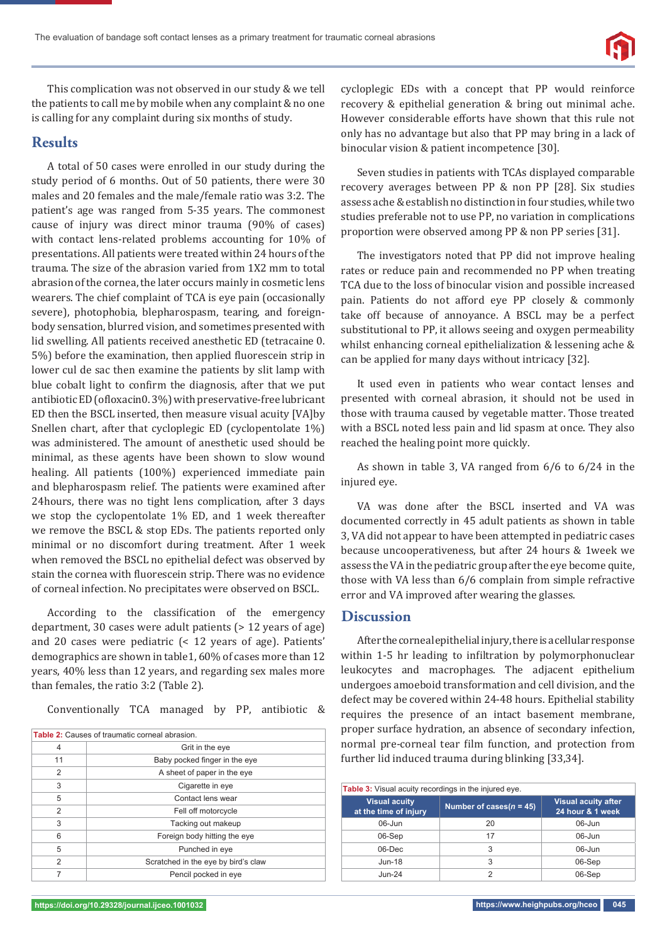

This complication was not observed in our study & we tell the patients to call me by mobile when any complaint & no one is calling for any complaint during six months of study.

## **Results**

A total of 50 cases were enrolled in our study during the study period of 6 months. Out of 50 patients, there were 30 males and 20 females and the male/female ratio was 3:2. The patient's age was ranged from 5-35 years. The commonest cause of injury was direct minor trauma (90% of cases) with contact lens-related problems accounting for 10% of presentations. All patients were treated within 24 hours of the trauma. The size of the abrasion varied from 1X2 mm to total abrasion of the cornea, the later occurs mainly in cosmetic lens wearers. The chief complaint of TCA is eye pain (occasionally severe), photophobia, blepharospasm, tearing, and foreignbody sensation, blurred vision, and sometimes presented with lid swelling. All patients received anesthetic ED (tetracaine 0. 5%) before the examination, then applied fluorescein strip in lower cul de sac then examine the patients by slit lamp with blue cobalt light to confirm the diagnosis, after that we put antibiotic ED (ofloxacin0. 3%) with preservative-free lubricant ED then the BSCL inserted, then measure visual acuity [VA]by Snellen chart, after that cycloplegic ED (cyclopentolate 1%) was administered. The amount of anesthetic used should be minimal, as these agents have been shown to slow wound healing. All patients (100%) experienced immediate pain and blepharospasm relief. The patients were examined after 24hours, there was no tight lens complication, after 3 days we stop the cyclopentolate 1% ED, and 1 week thereafter we remove the BSCL & stop EDs. The patients reported only minimal or no discomfort during treatment. After 1 week when removed the BSCL no epithelial defect was observed by stain the cornea with fluorescein strip. There was no evidence of corneal infection. No precipitates were observed on BSCL.

According to the classification of the emergency department, 30 cases were adult patients (> 12 years of age) and 20 cases were pediatric (< 12 years of age). Patients' demographics are shown in table1, 60% of cases more than 12 years, 40% less than 12 years, and regarding sex males more than females, the ratio 3:2 (Table 2).

Conventionally TCA managed by PP, antibiotic &

| <b>Table 2:</b> Causes of traumatic corneal abrasion. |                                     |  |  |  |
|-------------------------------------------------------|-------------------------------------|--|--|--|
| 4                                                     | Grit in the eye                     |  |  |  |
| 11                                                    | Baby pocked finger in the eye       |  |  |  |
| $\overline{2}$                                        | A sheet of paper in the eye         |  |  |  |
| 3                                                     | Cigarette in eye                    |  |  |  |
| 5                                                     | Contact lens wear                   |  |  |  |
| $\overline{2}$                                        | Fell off motorcycle                 |  |  |  |
| 3                                                     | Tacking out makeup                  |  |  |  |
| 6                                                     | Foreign body hitting the eye        |  |  |  |
| 5                                                     | Punched in eye                      |  |  |  |
| $\mathfrak{p}$                                        | Scratched in the eye by bird's claw |  |  |  |
|                                                       | Pencil pocked in eye                |  |  |  |

cycloplegic EDs with a concept that PP would reinforce recovery & epithelial generation & bring out minimal ache. However considerable efforts have shown that this rule not only has no advantage but also that PP may bring in a lack of binocular vision & patient incompetence [30].

Seven studies in patients with TCAs displayed comparable recovery averages between PP & non PP [28]. Six studies assess ache & establish no distinction in four studies, while two studies preferable not to use PP, no variation in complications proportion were observed among PP & non PP series [31].

The investigators noted that PP did not improve healing rates or reduce pain and recommended no PP when treating TCA due to the loss of binocular vision and possible increased pain. Patients do not afford eye PP closely & commonly take off because of annoyance. A BSCL may be a perfect substitutional to PP, it allows seeing and oxygen permeability whilst enhancing corneal epithelialization & lessening ache & can be applied for many days without intricacy [32].

It used even in patients who wear contact lenses and presented with corneal abrasion, it should not be used in those with trauma caused by vegetable matter. Those treated with a BSCL noted less pain and lid spasm at once. They also reached the healing point more quickly.

As shown in table 3, VA ranged from 6/6 to 6/24 in the injured eye.

VA was done after the BSCL inserted and VA was documented correctly in 45 adult patients as shown in table 3, VA did not appear to have been attempted in pediatric cases because uncooperativeness, but after 24 hours & 1week we assess the VA in the pediatric group after the eye become quite, those with VA less than 6/6 complain from simple refractive error and VA improved after wearing the glasses.

### **Discussion**

After the corneal epithelial injury, there is a cellular response within 1-5 hr leading to infiltration by polymorphonuclear leukocytes and macrophages. The adjacent epithelium undergoes amoeboid transformation and cell division, and the defect may be covered within 24-48 hours. Epithelial stability requires the presence of an intact basement membrane, proper surface hydration, an absence of secondary infection, normal pre-corneal tear film function, and protection from further lid induced trauma during blinking [33,34].

|  | <b>Table 3:</b> Visual acuity recordings in the injured eye. |                             |                                                |  |
|--|--------------------------------------------------------------|-----------------------------|------------------------------------------------|--|
|  | <b>Visual acuity</b><br>at the time of injury                | Number of cases( $n = 45$ ) | <b>Visual acuity after</b><br>24 hour & 1 week |  |
|  | $06$ -Jun                                                    | 20                          | $06$ -Jun                                      |  |
|  | 06-Sep                                                       | 17                          | $06$ -Jun                                      |  |
|  | $06$ -Dec                                                    | 3                           | $06$ -Jun                                      |  |
|  | $Jun-18$                                                     | 3                           | 06-Sep                                         |  |
|  | $Jun-24$                                                     | っ                           | 06-Sep                                         |  |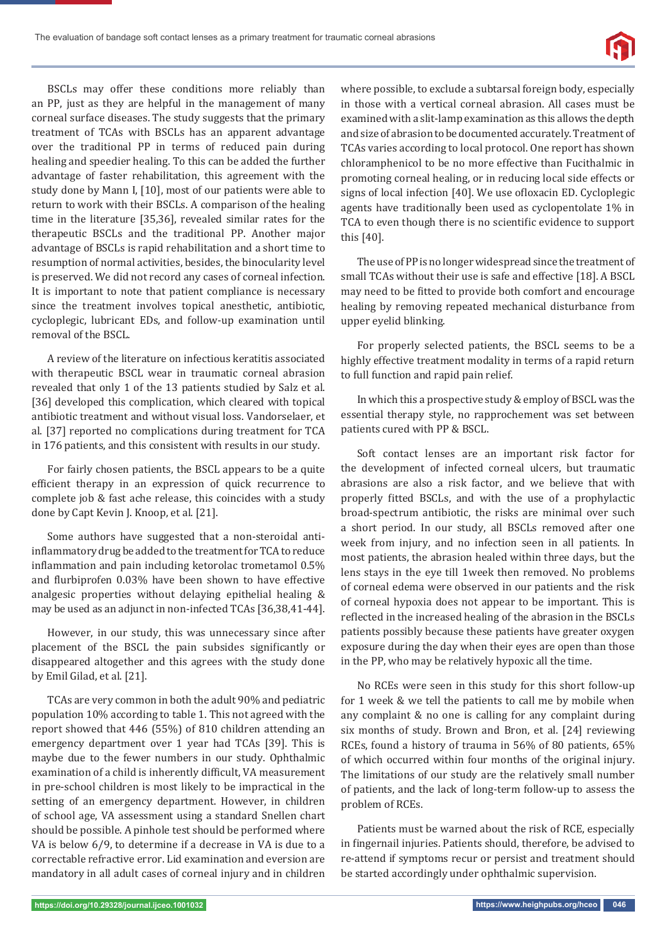

BSCLs may offer these conditions more reliably than an PP, just as they are helpful in the management of many corneal surface diseases. The study suggests that the primary treatment of TCAs with BSCLs has an apparent advantage over the traditional PP in terms of reduced pain during healing and speedier healing. To this can be added the further advantage of faster rehabilitation, this agreement with the study done by Mann I, [10], most of our patients were able to return to work with their BSCLs. A comparison of the healing time in the literature [35,36], revealed similar rates for the therapeutic BSCLs and the traditional PP. Another major advantage of BSCLs is rapid rehabilitation and a short time to resumption of normal activities, besides, the binocularity level is preserved. We did not record any cases of corneal infection. It is important to note that patient compliance is necessary since the treatment involves topical anesthetic, antibiotic, cycloplegic, lubricant EDs, and follow-up examination until removal of the BSCL.

A review of the literature on infectious keratitis associated with therapeutic BSCL wear in traumatic corneal abrasion revealed that only 1 of the 13 patients studied by Salz et al. [36] developed this complication, which cleared with topical antibiotic treatment and without visual loss. Vandorselaer, et al. [37] reported no complications during treatment for TCA in 176 patients, and this consistent with results in our study.

For fairly chosen patients, the BSCL appears to be a quite efficient therapy in an expression of quick recurrence to complete job & fast ache release, this coincides with a study done by Capt Kevin J. Knoop, et al. [21].

Some authors have suggested that a non-steroidal antiinflammatory drug be added to the treatment for TCA to reduce inflammation and pain including ketorolac trometamol 0.5% and flurbiprofen 0.03% have been shown to have effective analgesic properties without delaying epithelial healing & may be used as an adjunct in non-infected TCAs [36,38,41-44].

However, in our study, this was unnecessary since after placement of the BSCL the pain subsides significantly or disappeared altogether and this agrees with the study done by Emil Gilad, et al. [21].

TCAs are very common in both the adult 90% and pediatric population 10% according to table 1. This not agreed with the report showed that 446 (55%) of 810 children attending an emergency department over 1 year had TCAs [39]. This is maybe due to the fewer numbers in our study. Ophthalmic examination of a child is inherently difficult, VA measurement in pre-school children is most likely to be impractical in the setting of an emergency department. However, in children of school age, VA assessment using a standard Snellen chart should be possible. A pinhole test should be performed where VA is below 6/9, to determine if a decrease in VA is due to a correctable refractive error. Lid examination and eversion are mandatory in all adult cases of corneal injury and in children

where possible, to exclude a subtarsal foreign body, especially in those with a vertical corneal abrasion. All cases must be examined with a slit-lamp examination as this allows the depth and size of abrasion to be documented accurately. Treatment of TCAs varies according to local protocol. One report has shown chloramphenicol to be no more effective than Fucithalmic in promoting corneal healing, or in reducing local side effects or signs of local infection [40]. We use ofloxacin ED. Cycloplegic agents have traditionally been used as cyclopentolate 1% in TCA to even though there is no scientific evidence to support this [40].

The use of PP is no longer widespread since the treatment of small TCAs without their use is safe and effective [18]. A BSCL may need to be fitted to provide both comfort and encourage healing by removing repeated mechanical disturbance from upper eyelid blinking.

For properly selected patients, the BSCL seems to be a highly effective treatment modality in terms of a rapid return to full function and rapid pain relief.

In which this a prospective study & employ of BSCL was the essential therapy style, no rapprochement was set between patients cured with PP & BSCL.

Soft contact lenses are an important risk factor for the development of infected corneal ulcers, but traumatic abrasions are also a risk factor, and we believe that with properly fitted BSCLs, and with the use of a prophylactic broad-spectrum antibiotic, the risks are minimal over such a short period. In our study, all BSCLs removed after one week from injury, and no infection seen in all patients. In most patients, the abrasion healed within three days, but the lens stays in the eye till 1week then removed. No problems of corneal edema were observed in our patients and the risk of corneal hypoxia does not appear to be important. This is reflected in the increased healing of the abrasion in the BSCLs patients possibly because these patients have greater oxygen exposure during the day when their eyes are open than those in the PP, who may be relatively hypoxic all the time.

No RCEs were seen in this study for this short follow-up for 1 week & we tell the patients to call me by mobile when any complaint & no one is calling for any complaint during six months of study. Brown and Bron, et al. [24] reviewing RCEs, found a history of trauma in 56% of 80 patients, 65% of which occurred within four months of the original injury. The limitations of our study are the relatively small number of patients, and the lack of long-term follow-up to assess the problem of RCEs.

Patients must be warned about the risk of RCE, especially in fingernail injuries. Patients should, therefore, be advised to re-attend if symptoms recur or persist and treatment should be started accordingly under ophthalmic supervision.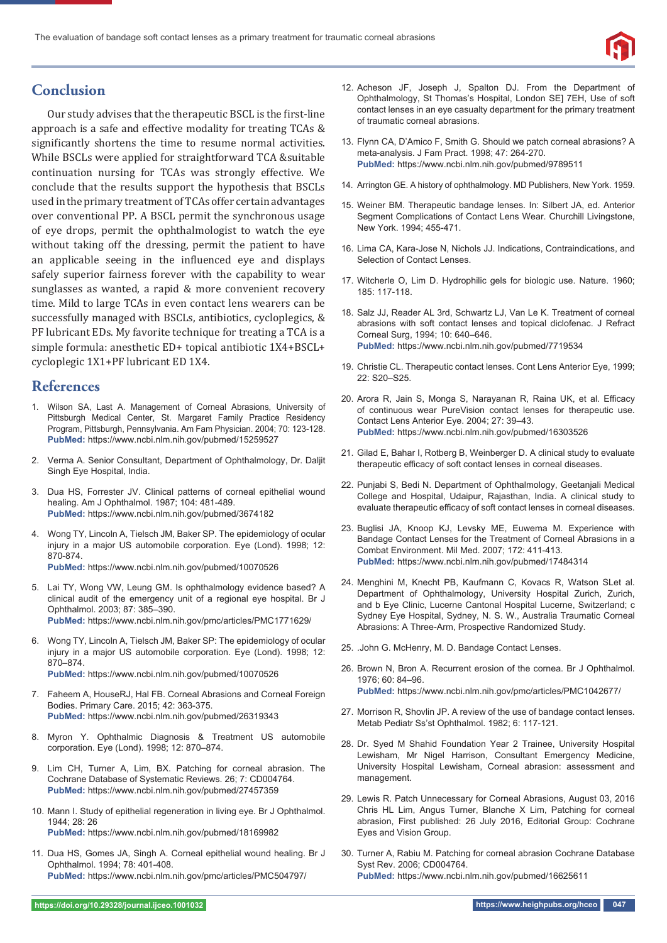

## **Conclusion**

Our study advises that the therapeutic BSCL is the first-line approach is a safe and effective modality for treating TCAs & significantly shortens the time to resume normal activities. While BSCLs were applied for straightforward TCA &suitable continuation nursing for TCAs was strongly effective. We conclude that the results support the hypothesis that BSCLs used in the primary treatment of TCAs offer certain advantages over conventional PP. A BSCL permit the synchronous usage of eye drops, permit the ophthalmologist to watch the eye without taking off the dressing, permit the patient to have an applicable seeing in the influenced eye and displays safely superior fairness forever with the capability to wear sunglasses as wanted, a rapid & more convenient recovery time. Mild to large TCAs in even contact lens wearers can be successfully managed with BSCLs, antibiotics, cycloplegics, & PF lubricant EDs. My favorite technique for treating a TCA is a simple formula: anesthetic ED+ topical antibiotic 1X4+BSCL+ cycloplegic 1X1+PF lubricant ED 1X4.

### **References**

- 1. Wilson SA, Last A. Management of Corneal Abrasions, University of Pittsburgh Medical Center, St. Margaret Family Practice Residency Program, Pittsburgh, Pennsylvania. Am Fam Physician. 2004; 70: 123-128. **PubMed:** https://www.ncbi.nlm.nih.gov/pubmed/15259527
- 2. Verma A. Senior Consultant, Department of Ophthalmology, Dr. Daljit Singh Eye Hospital, India.
- 3. Dua HS, Forrester JV. Clinical patterns of corneal epithelial wound healing. Am J Ophthalmol. 1987; 104: 481-489. **PubMed:** https://www.ncbi.nlm.nih.gov/pubmed/3674182
- 4. Wong TY, Lincoln A, Tielsch JM, Baker SP. The epidemiology of ocular injury in a major US automobile corporation. Eye (Lond). 1998; 12: 870-874.
	- **PubMed:** https://www.ncbi.nlm.nih.gov/pubmed/10070526
- 5. Lai TY, Wong VW, Leung GM. Is ophthalmology evidence based? A clinical audit of the emergency unit of a regional eye hospital. Br J Ophthalmol. 2003; 87: 385–390. **PubMed:** https://www.ncbi.nlm.nih.gov/pmc/articles/PMC1771629/
- 6. Wong TY, Lincoln A, Tielsch JM, Baker SP: The epidemiology of ocular injury in a major US automobile corporation. Eye (Lond). 1998; 12: 870–874.

**PubMed:** https://www.ncbi.nlm.nih.gov/pubmed/10070526

- 7. Faheem A, HouseRJ, Hal FB. Corneal Abrasions and Corneal Foreign Bodies. Primary Care. 2015; 42: 363-375. **PubMed:** https://www.ncbi.nlm.nih.gov/pubmed/26319343
- 8. Myron Y. Ophthalmic Diagnosis & Treatment US automobile corporation. Eye (Lond). 1998; 12: 870–874.
- 9. Lim CH, Turner A, Lim, BX. Patching for corneal abrasion. The Cochrane Database of Systematic Reviews. 26; 7: CD004764. **PubMed:** https://www.ncbi.nlm.nih.gov/pubmed/27457359
- 10. Mann I. Study of epithelial regeneration in living eye. Br J Ophthalmol. 1944; 28: 26 **PubMed:** https://www.ncbi.nlm.nih.gov/pubmed/18169982
- 11. Dua HS, Gomes JA, Singh A. Corneal epithelial wound healing. Br J Ophthalmol. 1994; 78: 401-408. **PubMed:** https://www.ncbi.nlm.nih.gov/pmc/articles/PMC504797/
- 12. Acheson JF, Joseph J, Spalton DJ. From the Department of Ophthalmology, St Thomas's Hospital, London SE] 7EH, Use of soft contact lenses in an eye casualty department for the primary treatment of traumatic corneal abrasions.
- 13. Flynn CA, D'Amico F, Smith G. Should we patch corneal abrasions? A meta-analysis. J Fam Pract. 1998; 47: 264-270. **PubMed:** https://www.ncbi.nlm.nih.gov/pubmed/9789511
- 14. Arrington GE. A history of ophthalmology. MD Publishers, New York. 1959.
- 15. Weiner BM. Therapeutic bandage lenses. In: Silbert JA, ed. Anterior Segment Complications of Contact Lens Wear. Churchill Livingstone, New York. 1994; 455-471.
- 16. Lima CA, Kara-Jose N, Nichols JJ. Indications, Contraindications, and Selection of Contact Lenses.
- 17. Witcherle O, Lim D. Hydrophilic gels for biologic use. Nature. 1960; 185: 117-118.
- 18. Salz JJ, Reader AL 3rd, Schwartz LJ, Van Le K. Treatment of corneal abrasions with soft contact lenses and topical diclofenac. J Refract Corneal Surg, 1994; 10: 640–646. **PubMed:** https://www.ncbi.nlm.nih.gov/pubmed/7719534
- 19. Christie CL. Therapeutic contact lenses. Cont Lens Anterior Eye, 1999; 22: S20–S25.
- 20. Arora R, Jain S, Monga S, Narayanan R, Raina UK, et al. Efficacy of continuous wear PureVision contact lenses for therapeutic use. Contact Lens Anterior Eye. 2004; 27: 39–43. **PubMed:** https://www.ncbi.nlm.nih.gov/pubmed/16303526
- 21. Gilad E, Bahar I, Rotberg B, Weinberger D. A clinical study to evaluate therapeutic efficacy of soft contact lenses in corneal diseases.
- 22. Punjabi S, Bedi N. Department of Ophthalmology, Geetanjali Medical College and Hospital, Udaipur, Rajasthan, India. A clinical study to evaluate therapeutic efficacy of soft contact lenses in corneal diseases.
- 23. Buglisi JA, Knoop KJ, Levsky ME, Euwema M. Experience with Bandage Contact Lenses for the Treatment of Corneal Abrasions in a Combat Environment. Mil Med. 2007; 172: 411-413. **PubMed:** https://www.ncbi.nlm.nih.gov/pubmed/17484314
- 24. Menghini M, Knecht PB, Kaufmann C, Kovacs R, Watson SLet al. Department of Ophthalmology, University Hospital Zurich, Zurich, and b Eye Clinic, Lucerne Cantonal Hospital Lucerne, Switzerland; c Sydney Eye Hospital, Sydney, N. S. W., Australia Traumatic Corneal Abrasions: A Three-Arm, Prospective Randomized Study.
- 25. .John G. McHenry, M. D. Bandage Contact Lenses.
- 26. Brown N, Bron A. Recurrent erosion of the cornea. Br J Ophthalmol. 1976; 60: 84–96. **PubMed:** https://www.ncbi.nlm.nih.gov/pmc/articles/PMC1042677/
- 27. Morrison R, Shovlin JP. A review of the use of bandage contact lenses. Metab Pediatr Ss'st Ophthalmol. 1982; 6: 117-121.
- 28. Dr. Syed M Shahid Foundation Year 2 Trainee, University Hospital Lewisham, Mr Nigel Harrison, Consultant Emergency Medicine, University Hospital Lewisham, Corneal abrasion: assessment and management.
- 29. Lewis R. Patch Unnecessary for Corneal Abrasions, August 03, 2016 Chris HL Lim, Angus Turner, Blanche X Lim, Patching for corneal abrasion, First published: 26 July 2016, Editorial Group: Cochrane Eyes and Vision Group.
- 30. Turner A, Rabiu M. Patching for corneal abrasion Cochrane Database Syst Rev. 2006; CD004764. **PubMed:** https://www.ncbi.nlm.nih.gov/pubmed/16625611